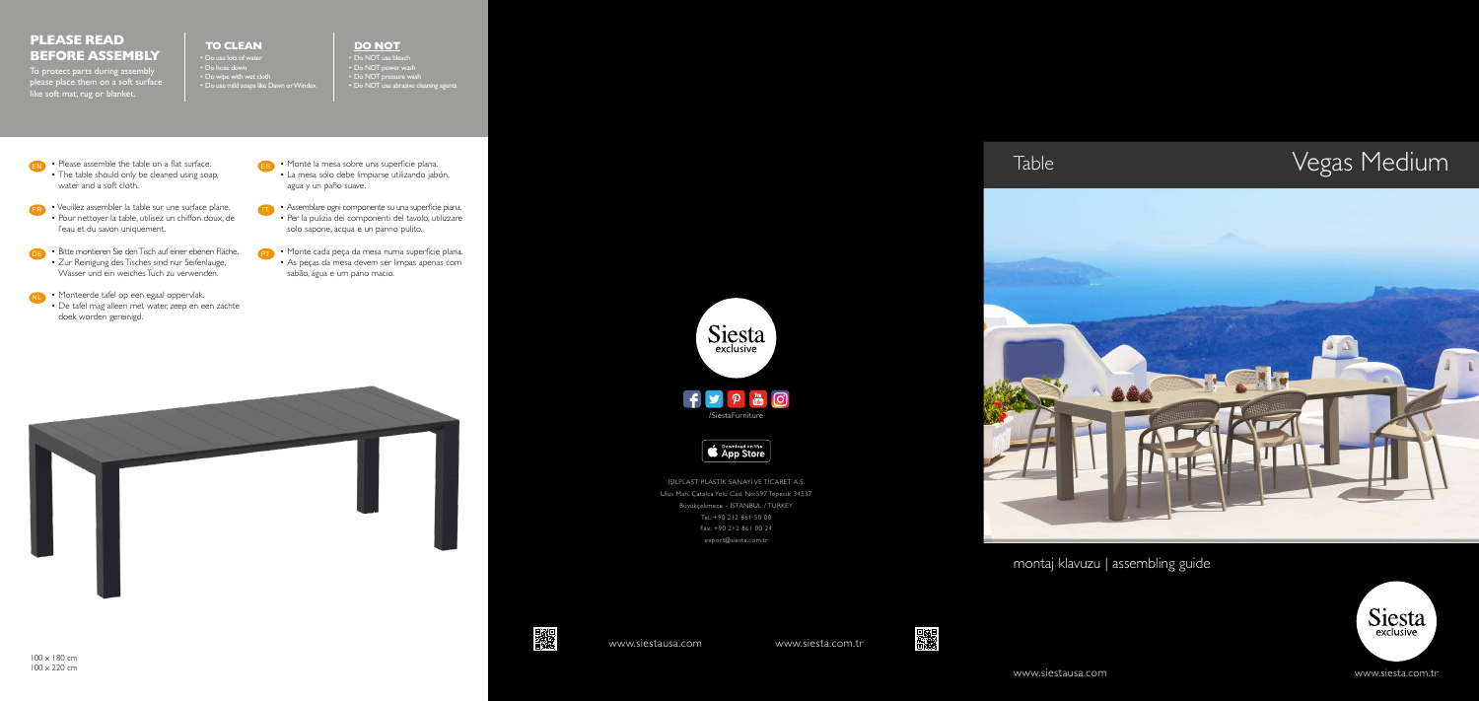



- **EN** Please assemble the table on a flat surface. • The table should only be cleaned using soap, water and a soft cloth.
- **FR** Veuillez assembler la table sur une surface plane. • Pour nettoyer la table, utilisez un chiffon doux, de l'eau et du savon uniquement.
- **•** Bitte montieren Sie den Tisch auf einer ebenen Fläche. • Zur Reinigung des Tisches sind nur Seifenlauge, Wasser und ein weiches Tuch zu verwenden.
- **NL •** Monteerde tafel op een egaal oppervlak.
	- De tafel mag alleen met water, zeep en een zachte doek worden gereinigd.

 $\blacktriangleright$ /SiestaFurniture

Download on the App Store

- Monte la mesa sobre una superficie plana. ES • La mesa sólo debe limpiarse utilizando jabón, agua y un paño suave.
- **•** Assemblare ogni componente su una superficie piana. • Per la pulizia dei componenti del tavolo, utilizzare solo sapone, acqua e un panno pulito.
- **•** Monte cada peça da mesa numa superfície plana. • As peças da mesa devem ser limpas apenas com sabão, água e um pano macio.



Siesta

montaj klavuzu | assembling guide













IŞILPLAST PLASTİK SANAYİ VE TİCARET A.Ş. Ulus Mah. Çatalca Yolu Cad. No:597 Tepecik 34537 Büyükçekmece - İSTANBUL / TURKEY Tel: +90 212 861 50 00 Fax: +90 212 861 00 24 [export@siesta.com.tr](mailto:export%40siesta.com.tr?subject=)



## **DO NOT**

• Do NOT use bleach • Do NOT power wash

- Do NOT pressure wash
- Do NOT use abrasive cleaning agents

## **TO CLEAN**

• Do use lots of water • Do hose down • Do wipe with wet cloth • Do use mild soaps like Dawn or Windex

## **PLEASE READ BEFORE ASSEMBLY**

To protect parts during assembly please place them on a soft surface like soft mat, rug or blanket.